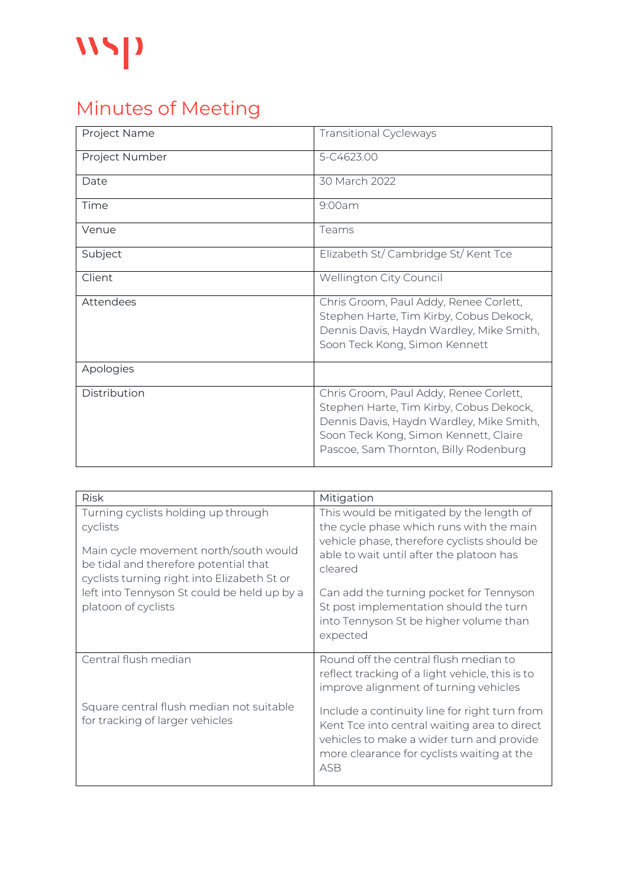## $\mathbf{W}$

## Minutes of Meeting

| Project Name   | <b>Transitional Cycleways</b>                                                                                                                                                                                   |
|----------------|-----------------------------------------------------------------------------------------------------------------------------------------------------------------------------------------------------------------|
| Project Number | 5-C4623.00                                                                                                                                                                                                      |
| Date           | 30 March 2022                                                                                                                                                                                                   |
| Time           | 9:00am                                                                                                                                                                                                          |
| Venue          | Teams                                                                                                                                                                                                           |
| Subject        | Elizabeth St/ Cambridge St/ Kent Tce                                                                                                                                                                            |
| Client         | Wellington City Council                                                                                                                                                                                         |
| Attendees      | Chris Groom, Paul Addy, Renee Corlett,<br>Stephen Harte, Tim Kirby, Cobus Dekock,<br>Dennis Davis, Haydn Wardley, Mike Smith,<br>Soon Teck Kong, Simon Kennett                                                  |
| Apologies      |                                                                                                                                                                                                                 |
| Distribution   | Chris Groom, Paul Addy, Renee Corlett,<br>Stephen Harte, Tim Kirby, Cobus Dekock,<br>Dennis Davis, Haydn Wardley, Mike Smith,<br>Soon Teck Kong, Simon Kennett, Claire<br>Pascoe, Sam Thornton, Billy Rodenburg |

| <b>Risk</b>                                                                                                                   | Mitigation                                                                                                                                                                                             |
|-------------------------------------------------------------------------------------------------------------------------------|--------------------------------------------------------------------------------------------------------------------------------------------------------------------------------------------------------|
| Turning cyclists holding up through                                                                                           | This would be mitigated by the length of                                                                                                                                                               |
| cyclists                                                                                                                      | the cycle phase which runs with the main                                                                                                                                                               |
| Main cycle movement north/south would<br>be tidal and therefore potential that<br>cyclists turning right into Elizabeth St or | vehicle phase, therefore cyclists should be<br>able to wait until after the platoon has<br>cleared                                                                                                     |
| left into Tennyson St could be held up by a<br>platoon of cyclists                                                            | Can add the turning pocket for Tennyson<br>St post implementation should the turn<br>into Tennyson St be higher volume than<br>expected                                                                |
| Central flush median                                                                                                          | Round off the central flush median to<br>reflect tracking of a light vehicle, this is to<br>improve alignment of turning vehicles                                                                      |
| Square central flush median not suitable<br>for tracking of larger vehicles                                                   | Include a continuity line for right turn from<br>Kent Tce into central waiting area to direct<br>vehicles to make a wider turn and provide<br>more clearance for cyclists waiting at the<br><b>ASB</b> |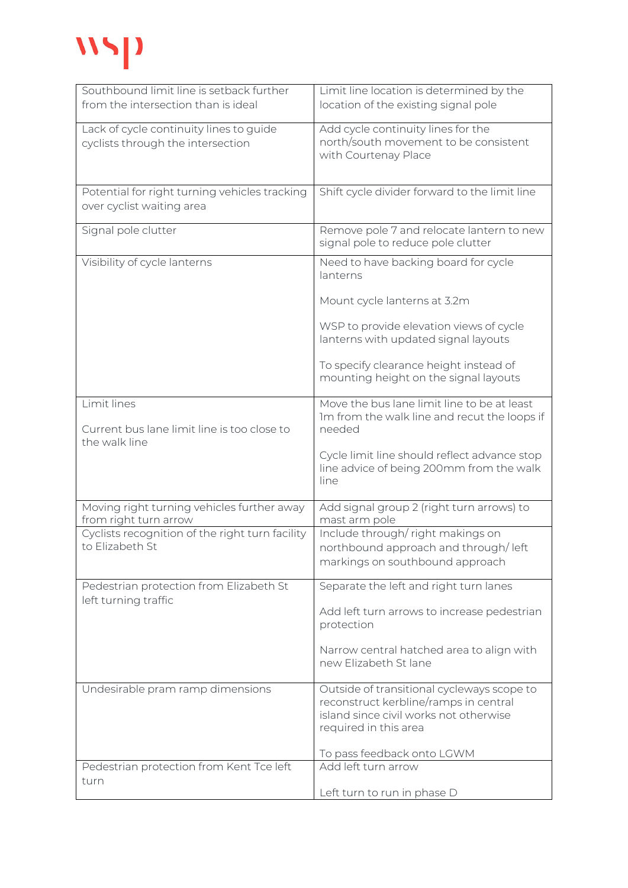## wyp

| Southbound limit line is setback further        | Limit line location is determined by the         |
|-------------------------------------------------|--------------------------------------------------|
| from the intersection than is ideal             | location of the existing signal pole             |
|                                                 |                                                  |
| Lack of cycle continuity lines to guide         | Add cycle continuity lines for the               |
| cyclists through the intersection               | north/south movement to be consistent            |
|                                                 | with Courtenay Place                             |
|                                                 |                                                  |
|                                                 |                                                  |
| Potential for right turning vehicles tracking   | Shift cycle divider forward to the limit line    |
| over cyclist waiting area                       |                                                  |
|                                                 |                                                  |
| Signal pole clutter                             | Remove pole 7 and relocate lantern to new        |
|                                                 | signal pole to reduce pole clutter               |
|                                                 |                                                  |
| Visibility of cycle lanterns                    | Need to have backing board for cycle<br>lanterns |
|                                                 |                                                  |
|                                                 |                                                  |
|                                                 | Mount cycle lanterns at 3.2m                     |
|                                                 |                                                  |
|                                                 | WSP to provide elevation views of cycle          |
|                                                 | lanterns with updated signal layouts             |
|                                                 | To specify clearance height instead of           |
|                                                 | mounting height on the signal layouts            |
|                                                 |                                                  |
| Limit lines                                     | Move the bus lane limit line to be at least      |
|                                                 | Im from the walk line and recut the loops if     |
| Current bus lane limit line is too close to     | needed                                           |
| the walk line                                   |                                                  |
|                                                 | Cycle limit line should reflect advance stop     |
|                                                 | line advice of being 200mm from the walk         |
|                                                 | line                                             |
|                                                 |                                                  |
| Moving right turning vehicles further away      | Add signal group 2 (right turn arrows) to        |
| from right turn arrow                           | mast arm pole                                    |
| Cyclists recognition of the right turn facility | Include through/right makings on                 |
| to Elizabeth St                                 | northbound approach and through/left             |
|                                                 | markings on southbound approach                  |
|                                                 |                                                  |
| Pedestrian protection from Elizabeth St         | Separate the left and right turn lanes           |
| left turning traffic                            |                                                  |
|                                                 | Add left turn arrows to increase pedestrian      |
|                                                 | protection                                       |
|                                                 |                                                  |
|                                                 | Narrow central hatched area to align with        |
|                                                 | new Elizabeth St lane                            |
|                                                 |                                                  |
| Undesirable pram ramp dimensions                | Outside of transitional cycleways scope to       |
|                                                 | reconstruct kerbline/ramps in central            |
|                                                 | island since civil works not otherwise           |
|                                                 | required in this area                            |
|                                                 |                                                  |
|                                                 | To pass feedback onto LGWM                       |
| Pedestrian protection from Kent Tce left        | Add left turn arrow                              |
| turn                                            |                                                  |
|                                                 | Left turn to run in phase D                      |